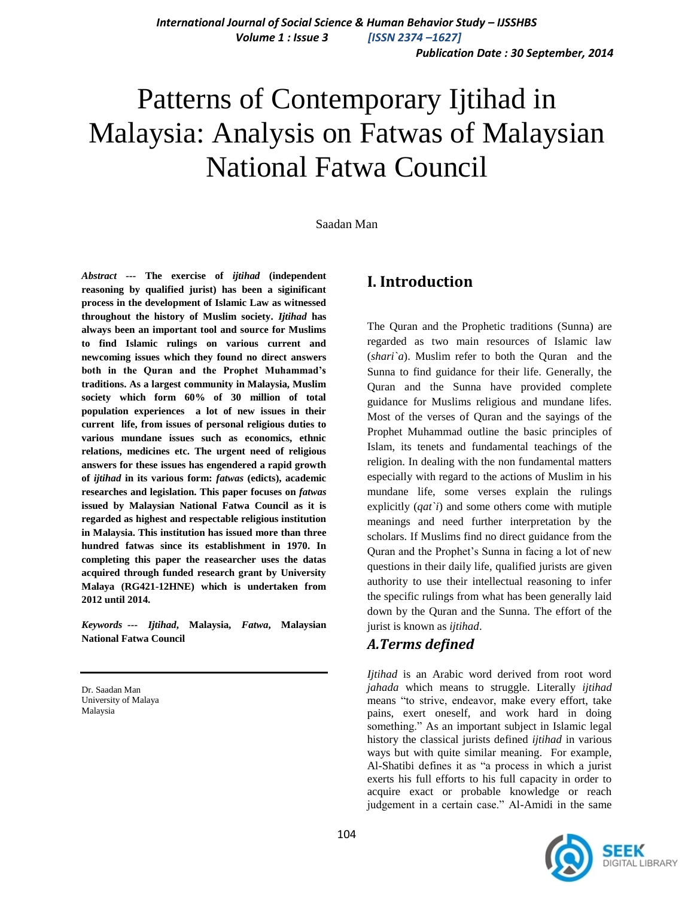*Publication Date : 30 September, 2014*

# Patterns of Contemporary Ijtihad in Malaysia: Analysis on Fatwas of Malaysian National Fatwa Council

Saadan Man

*Abstract ---* **The exercise of** *ijtihad* **(independent reasoning by qualified jurist) has been a siginificant process in the development of Islamic Law as witnessed throughout the history of Muslim society.** *Ijtihad* **has always been an important tool and source for Muslims to find Islamic rulings on various current and newcoming issues which they found no direct answers both in the Quran and the Prophet Muhammad's traditions. As a largest community in Malaysia, Muslim society which form 60% of 30 million of total population experiences a lot of new issues in their current life, from issues of personal religious duties to various mundane issues such as economics, ethnic relations, medicines etc. The urgent need of religious answers for these issues has engendered a rapid growth of** *ijtihad* **in its various form:** *fatwas* **(edicts), academic researches and legislation. This paper focuses on** *fatwas* **issued by Malaysian National Fatwa Council as it is regarded as highest and respectable religious institution in Malaysia. This institution has issued more than three hundred fatwas since its establishment in 1970. In completing this paper the reasearcher uses the datas acquired through funded research grant by University Malaya (RG421-12HNE) which is undertaken from 2012 until 2014.** 

*Keywords ---**Ijtihad***, Malaysia,** *Fatwa***, Malaysian National Fatwa Council** 

Dr. Saadan Man University of Malaya Malaysia

# **I. Introduction**

The Quran and the Prophetic traditions (Sunna) are regarded as two main resources of Islamic law (*shari`a*). Muslim refer to both the Quran and the Sunna to find guidance for their life. Generally, the Quran and the Sunna have provided complete guidance for Muslims religious and mundane lifes. Most of the verses of Quran and the sayings of the Prophet Muhammad outline the basic principles of Islam, its tenets and fundamental teachings of the religion. In dealing with the non fundamental matters especially with regard to the actions of Muslim in his mundane life, some verses explain the rulings explicitly (*qat`i*) and some others come with mutiple meanings and need further interpretation by the scholars. If Muslims find no direct guidance from the Quran and the Prophet"s Sunna in facing a lot of new questions in their daily life, qualified jurists are given authority to use their intellectual reasoning to infer the specific rulings from what has been generally laid down by the Quran and the Sunna. The effort of the jurist is known as *ijtihad*.

## *A.Terms defined*

*Ijtihad* is an Arabic word derived from root word *jahada* which means to struggle. Literally *ijtihad* means "to strive, endeavor, make every effort, take pains, exert oneself, and work hard in doing something." As an important subject in Islamic legal history the classical jurists defined *ijtihad* in various ways but with quite similar meaning. For example, Al-Shatibi defines it as "a process in which a jurist exerts his full efforts to his full capacity in order to acquire exact or probable knowledge or reach judgement in a certain case." Al-Amidi in the same

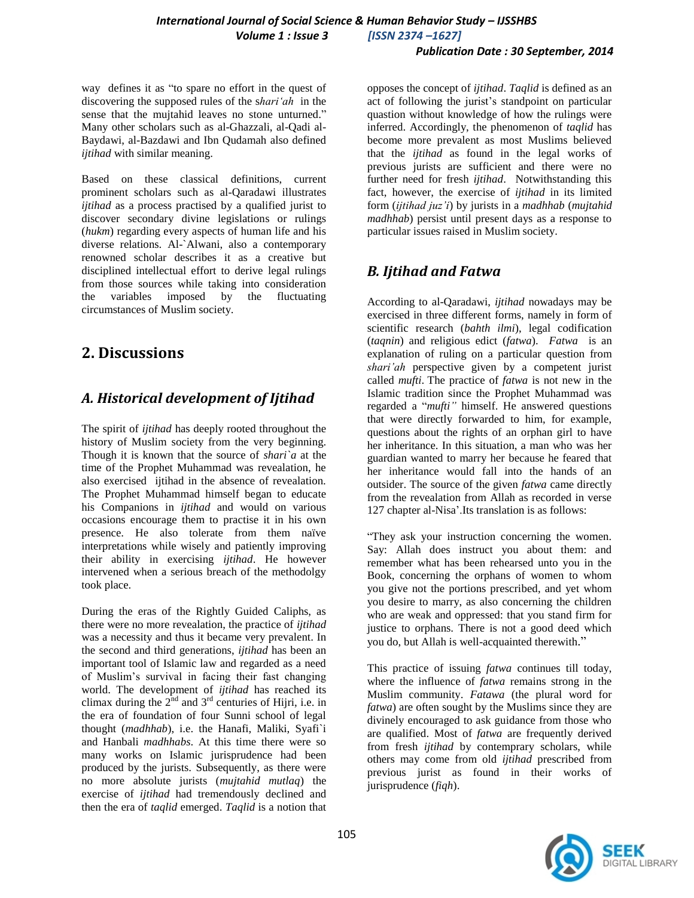#### *Publication Date : 30 September, 2014*

way defines it as "to spare no effort in the quest of discovering the supposed rules of the s*hari'ah* in the sense that the mujtahid leaves no stone unturned." Many other scholars such as al-Ghazzali, al-Qadi al-Baydawi, al-Bazdawi and Ibn Qudamah also defined *ijtihad* with similar meaning.

Based on these classical definitions, current prominent scholars such as al-Qaradawi illustrates *ijtihad* as a process practised by a qualified jurist to discover secondary divine legislations or rulings (*hukm*) regarding every aspects of human life and his diverse relations. Al-`Alwani, also a contemporary renowned scholar describes it as a creative but disciplined intellectual effort to derive legal rulings from those sources while taking into consideration the variables imposed by the fluctuating circumstances of Muslim society.

## **2. Discussions**

## *A. Historical development of Ijtihad*

The spirit of *ijtihad* has deeply rooted throughout the history of Muslim society from the very beginning. Though it is known that the source of *shari`a* at the time of the Prophet Muhammad was revealation, he also exercised ijtihad in the absence of revealation. The Prophet Muhammad himself began to educate his Companions in *ijtihad* and would on various occasions encourage them to practise it in his own presence. He also tolerate from them naïve interpretations while wisely and patiently improving their ability in exercising *ijtihad*. He however intervened when a serious breach of the methodolgy took place.

During the eras of the Rightly Guided Caliphs, as there were no more revealation, the practice of *ijtihad* was a necessity and thus it became very prevalent. In the second and third generations, *ijtihad* has been an important tool of Islamic law and regarded as a need of Muslim"s survival in facing their fast changing world. The development of *ijtihad* has reached its climax during the  $2^{nd}$  and  $3^{rd}$  centuries of Hijri, i.e. in the era of foundation of four Sunni school of legal thought (*madhhab*), i.e. the Hanafi, Maliki, Syafi`i and Hanbali *madhhabs*. At this time there were so many works on Islamic jurisprudence had been produced by the jurists. Subsequently, as there were no more absolute jurists (*mujtahid mutlaq*) the exercise of *ijtihad* had tremendously declined and then the era of *taqlid* emerged. *Taqlid* is a notion that opposes the concept of *ijtihad*. *Taqlid* is defined as an act of following the jurist"s standpoint on particular quastion without knowledge of how the rulings were inferred. Accordingly, the phenomenon of *taqlid* has become more prevalent as most Muslims believed that the *ijtihad* as found in the legal works of previous jurists are sufficient and there were no further need for fresh *ijtihad*. Notwithstanding this fact, however, the exercise of *ijtihad* in its limited form (*ijtihad juz'i*) by jurists in a *madhhab* (*mujtahid madhhab*) persist until present days as a response to particular issues raised in Muslim society.

## *B. Ijtihad and Fatwa*

According to al-Qaradawi, *ijtihad* nowadays may be exercised in three different forms, namely in form of scientific research (*bahth ilmi*), legal codification (*taqnin*) and religious edict (*fatwa*). *Fatwa* is an explanation of ruling on a particular question from *shari'ah* perspective given by a competent jurist called *mufti*. The practice of *fatwa* is not new in the Islamic tradition since the Prophet Muhammad was regarded a "*mufti"* himself. He answered questions that were directly forwarded to him, for example, questions about the rights of an orphan girl to have her inheritance. In this situation, a man who was her guardian wanted to marry her because he feared that her inheritance would fall into the hands of an outsider. The source of the given *fatwa* came directly from the revealation from Allah as recorded in verse 127 chapter al-Nisa".Its translation is as follows:

"They ask your instruction concerning the women. Say: Allah does instruct you about them: and remember what has been rehearsed unto you in the Book, concerning the orphans of women to whom you give not the portions prescribed, and yet whom you desire to marry, as also concerning the children who are weak and oppressed: that you stand firm for justice to orphans. There is not a good deed which you do, but Allah is well-acquainted therewith."

This practice of issuing *fatwa* continues till today, where the influence of *fatwa* remains strong in the Muslim community. *Fatawa* (the plural word for *fatwa*) are often sought by the Muslims since they are divinely encouraged to ask guidance from those who are qualified. Most of *fatwa* are frequently derived from fresh *ijtihad* by contemprary scholars, while others may come from old *ijtihad* prescribed from previous jurist as found in their works of jurisprudence (*fiqh*).

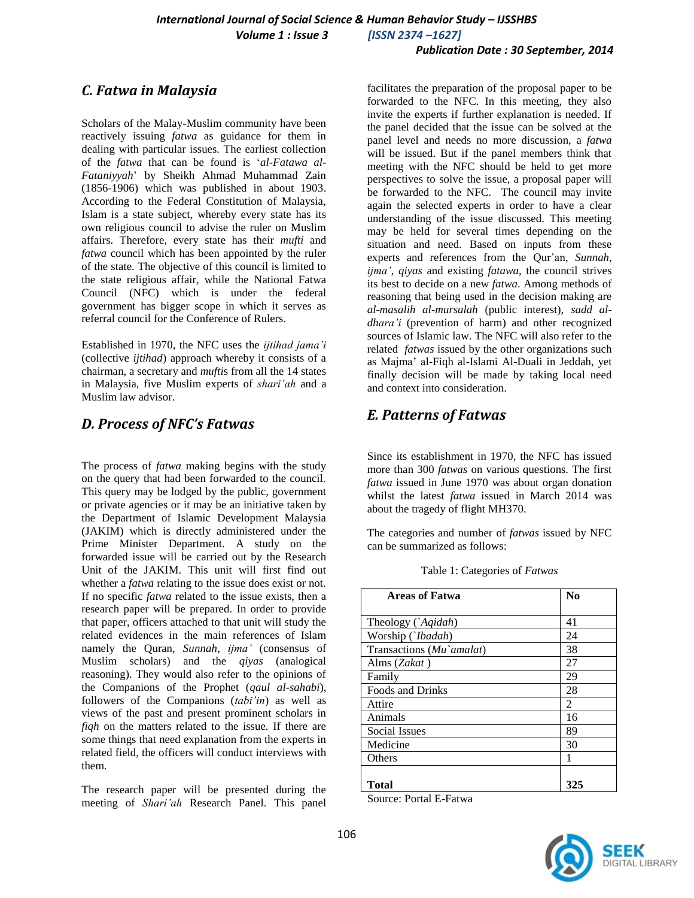#### *Publication Date : 30 September, 2014*

## *C. Fatwa in Malaysia*

Scholars of the Malay-Muslim community have been reactively issuing *fatwa* as guidance for them in dealing with particular issues. The earliest collection of the *fatwa* that can be found is "*al-Fatawa al-Fataniyyah*" by Sheikh Ahmad Muhammad Zain (1856-1906) which was published in about 1903. According to the Federal Constitution of Malaysia, Islam is a state subject, whereby every state has its own religious council to advise the ruler on Muslim affairs. Therefore, every state has their *mufti* and *fatwa* council which has been appointed by the ruler of the state. The objective of this council is limited to the state religious affair, while the National Fatwa Council (NFC) which is under the federal government has bigger scope in which it serves as referral council for the Conference of Rulers.

Established in 1970, the NFC uses the *ijtihad jama'i* (collective *ijtihad*) approach whereby it consists of a chairman, a secretary and *mufti*s from all the 14 states in Malaysia, five Muslim experts of *shari'ah* and a Muslim law advisor.

#### *D. Process of NFC's Fatwas*

The process of *fatwa* making begins with the study on the query that had been forwarded to the council. This query may be lodged by the public, government or private agencies or it may be an initiative taken by the Department of Islamic Development Malaysia (JAKIM) which is directly administered under the Prime Minister Department. A study on the forwarded issue will be carried out by the Research Unit of the JAKIM. This unit will first find out whether a *fatwa* relating to the issue does exist or not. If no specific *fatwa* related to the issue exists, then a research paper will be prepared. In order to provide that paper, officers attached to that unit will study the related evidences in the main references of Islam namely the Quran, *Sunnah*, *ijma'* (consensus of Muslim scholars) and the *qiyas* (analogical reasoning). They would also refer to the opinions of the Companions of the Prophet (*qaul al-sahabi*), followers of the Companions (*tabi'in*) as well as views of the past and present prominent scholars in *fiqh* on the matters related to the issue. If there are some things that need explanation from the experts in related field, the officers will conduct interviews with them.

The research paper will be presented during the meeting of *Shari'ah* Research Panel. This panel

facilitates the preparation of the proposal paper to be forwarded to the NFC. In this meeting, they also invite the experts if further explanation is needed. If the panel decided that the issue can be solved at the panel level and needs no more discussion, a *fatwa* will be issued. But if the panel members think that meeting with the NFC should be held to get more perspectives to solve the issue, a proposal paper will be forwarded to the NFC. The council may invite again the selected experts in order to have a clear understanding of the issue discussed. This meeting may be held for several times depending on the situation and need. Based on inputs from these experts and references from the Qur"an, *Sunnah*, *ijma'*, *qiyas* and existing *fatawa*, the council strives its best to decide on a new *fatwa*. Among methods of reasoning that being used in the decision making are *al*-*masalih al-mursalah* (public interest), *sadd aldhara'i* (prevention of harm) and other recognized sources of Islamic law. The NFC will also refer to the related *fatwas* issued by the other organizations such as Majma" al-Fiqh al-Islami Al-Duali in Jeddah, yet finally decision will be made by taking local need and context into consideration.

## *E. Patterns of Fatwas*

Since its establishment in 1970, the NFC has issued more than 300 *fatwas* on various questions. The first *fatwa* issued in June 1970 was about organ donation whilst the latest *fatwa* issued in March 2014 was about the tragedy of flight MH370.

The categories and number of *fatwas* issued by NFC can be summarized as follows:

| <b>Areas of Fatwa</b>    | N <sub>0</sub> |
|--------------------------|----------------|
|                          |                |
| Theology (`Aqidah)       | 41             |
| Worship ('Ibadah)        | 24             |
| Transactions (Mu`amalat) | 38             |
| Alms (Zakat)             | 27             |
| Family                   | 29             |
| <b>Foods and Drinks</b>  | 28             |
| Attire                   | $\overline{c}$ |
| Animals                  | 16             |
| Social Issues            | 89             |
| Medicine                 | 30             |
| <b>Others</b>            |                |
|                          |                |
| Total                    | 325            |

Table 1: Categories of *Fatwas*

Source: Portal E-Fatwa